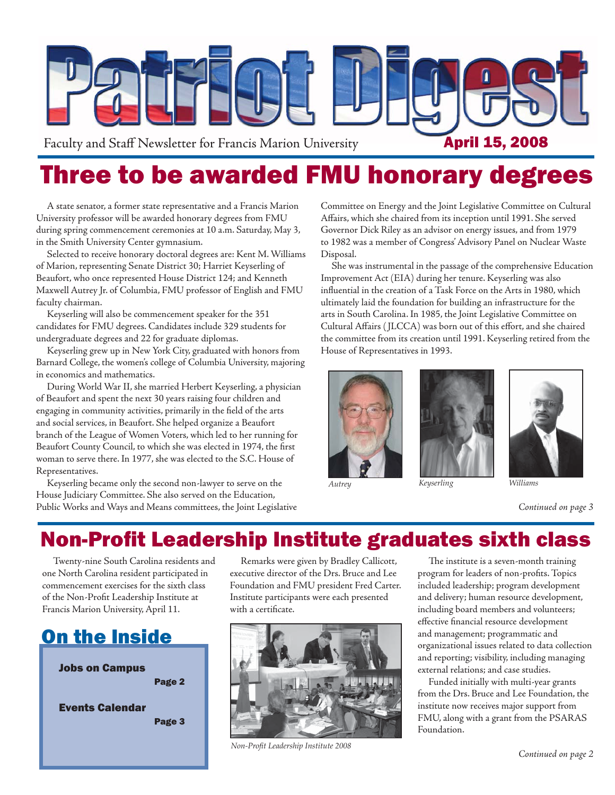

# Three to be awarded FMU honorary degrees

A state senator, a former state representative and a Francis Marion University professor will be awarded honorary degrees from FMU during spring commencement ceremonies at 10 a.m. Saturday, May 3, in the Smith University Center gymnasium.

Selected to receive honorary doctoral degrees are: Kent M. Williams of Marion, representing Senate District 30; Harriet Keyserling of Beaufort, who once represented House District 124; and Kenneth Maxwell Autrey Jr. of Columbia, FMU professor of English and FMU faculty chairman.

Keyserling will also be commencement speaker for the 351 candidates for FMU degrees. Candidates include 329 students for undergraduate degrees and 22 for graduate diplomas.

Keyserling grew up in New York City, graduated with honors from Barnard College, the women's college of Columbia University, majoring in economics and mathematics.

During World War II, she married Herbert Keyserling, a physician of Beaufort and spent the next 30 years raising four children and engaging in community activities, primarily in the field of the arts and social services, in Beaufort. She helped organize a Beaufort branch of the League of Women Voters, which led to her running for Beaufort County Council, to which she was elected in 1974, the first woman to serve there. In 1977, she was elected to the S.C. House of Representatives.

Keyserling became only the second non-lawyer to serve on the House Judiciary Committee. She also served on the Education, Public Works and Ways and Means committees, the Joint Legislative Committee on Energy and the Joint Legislative Committee on Cultural Affairs, which she chaired from its inception until 1991. She served Governor Dick Riley as an advisor on energy issues, and from 1979 to 1982 was a member of Congress' Advisory Panel on Nuclear Waste Disposal.

She was instrumental in the passage of the comprehensive Education Improvement Act (EIA) during her tenure. Keyserling was also influential in the creation of a Task Force on the Arts in 1980, which ultimately laid the foundation for building an infrastructure for the arts in South Carolina. In 1985, the Joint Legislative Committee on Cultural Affairs (JLCCA) was born out of this effort, and she chaired the committee from its creation until 1991. Keyserling retired from the House of Representatives in 1993.







*Continued on page 3*

# **Non-Profit Leadership Institute graduates sixth class**

Twenty-nine South Carolina residents and one North Carolina resident participated in commencement exercises for the sixth class of the Non-Profit Leadership Institute at Francis Marion University, April 11.

# On the Inside



Remarks were given by Bradley Callicott, executive director of the Drs. Bruce and Lee Foundation and FMU president Fred Carter. Institute participants were each presented with a certificate.



*Non-Profi t Leadership Institute 2008*

The institute is a seven-month training program for leaders of non-profits. Topics included leadership; program development and delivery; human resource development, including board members and volunteers; effective financial resource development and management; programmatic and organizational issues related to data collection and reporting; visibility, including managing external relations; and case studies.

Funded initially with multi-year grants from the Drs. Bruce and Lee Foundation, the institute now receives major support from FMU, along with a grant from the PSARAS Foundation.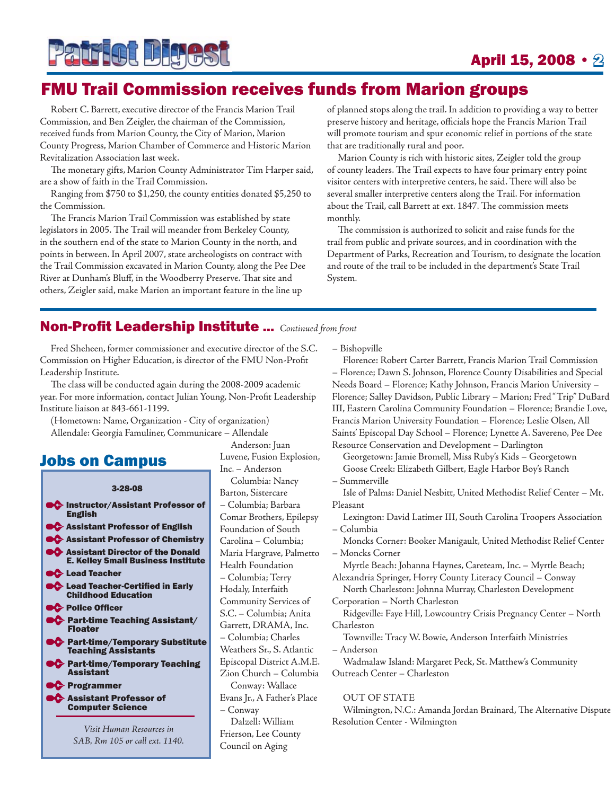

### April 15, 2008 • 2

## FMU Trail Commission receives funds from Marion groups

Robert C. Barrett, executive director of the Francis Marion Trail Commission, and Ben Zeigler, the chairman of the Commission, received funds from Marion County, the City of Marion, Marion County Progress, Marion Chamber of Commerce and Historic Marion Revitalization Association last week.

The monetary gifts, Marion County Administrator Tim Harper said, are a show of faith in the Trail Commission.

Ranging from \$750 to \$1,250, the county entities donated \$5,250 to the Commission.

The Francis Marion Trail Commission was established by state legislators in 2005. The Trail will meander from Berkeley County, in the southern end of the state to Marion County in the north, and points in between. In April 2007, state archeologists on contract with the Trail Commission excavated in Marion County, along the Pee Dee River at Dunham's Bluff, in the Woodberry Preserve. That site and others, Zeigler said, make Marion an important feature in the line up

of planned stops along the trail. In addition to providing a way to better preserve history and heritage, officials hope the Francis Marion Trail will promote tourism and spur economic relief in portions of the state that are traditionally rural and poor.

Marion County is rich with historic sites, Zeigler told the group of county leaders. The Trail expects to have four primary entry point visitor centers with interpretive centers, he said. There will also be several smaller interpretive centers along the Trail. For information about the Trail, call Barrett at ext. 1847. The commission meets monthly.

The commission is authorized to solicit and raise funds for the trail from public and private sources, and in coordination with the Department of Parks, Recreation and Tourism, to designate the location and route of the trail to be included in the department's State Trail System.

#### **Non-Profit Leadership Institute ...** Continued from front

Fred Sheheen, former commissioner and executive director of the S.C. Commission on Higher Education, is director of the FMU Non-Profit Leadership Institute.

The class will be conducted again during the 2008-2009 academic year. For more information, contact Julian Young, Non-Profit Leadership Institute liaison at 843-661-1199.

(Hometown: Name, Organization - City of organization) Allendale: Georgia Famuliner, Communicare – Allendale

#### Jobs on Campus

#### 3-28-08

**Instructor/Assistant Professor of** English **C** Assistant Professor of English **C** Assistant Professor of Chemistry **Assistant Director of the Donald** E. Kelley Small Business Institute **C** Lead Teacher **C** Lead Teacher-Certified in Early Childhood Education **C** Police Officer **CC** Part-time Teaching Assistant/ Floater **C** Part-time/Temporary Substitute Teaching Assistants **PC** Part-time/Temporary Teaching Assistant **PC** Programmer **Assistant Professor of** Computer Science

*Visit Human Resources in SAB, Rm 105 or call ext. 1140.*

Anderson: Juan Luvene, Fusion Explosion, Inc. – Anderson Columbia: Nancy Barton, Sistercare – Columbia; Barbara Comar Brothers, Epilepsy Foundation of South Carolina – Columbia; Maria Hargrave, Palmetto Health Foundation – Columbia; Terry Hodaly, Interfaith Community Services of S.C. – Columbia; Anita Garrett, DRAMA, Inc. – Columbia; Charles Weathers Sr., S. Atlantic Episcopal District A.M.E. Zion Church – Columbia Conway: Wallace Evans Jr., A Father's Place – Conway Dalzell: William Frierson, Lee County

Council on Aging

– Bishopville

Florence: Robert Carter Barrett, Francis Marion Trail Commission – Florence; Dawn S. Johnson, Florence County Disabilities and Special Needs Board – Florence; Kathy Johnson, Francis Marion University – Florence; Salley Davidson, Public Library – Marion; Fred "Trip" DuBard III, Eastern Carolina Community Foundation – Florence; Brandie Love, Francis Marion University Foundation – Florence; Leslie Olsen, All Saints' Episcopal Day School – Florence; Lynette A. Savereno, Pee Dee Resource Conservation and Development – Darlington

Georgetown: Jamie Bromell, Miss Ruby's Kids – Georgetown Goose Creek: Elizabeth Gilbert, Eagle Harbor Boy's Ranch – Summerville

Isle of Palms: Daniel Nesbitt, United Methodist Relief Center – Mt. Pleasant

Lexington: David Latimer III, South Carolina Troopers Association – Columbia

Moncks Corner: Booker Manigault, United Methodist Relief Center – Moncks Corner

Myrtle Beach: Johanna Haynes, Careteam, Inc. – Myrtle Beach; Alexandria Springer, Horry County Literacy Council – Conway

North Charleston: Johnna Murray, Charleston Development Corporation – North Charleston

Ridgeville: Faye Hill, Lowcountry Crisis Pregnancy Center – North Charleston

Townville: Tracy W. Bowie, Anderson Interfaith Ministries – Anderson

Wadmalaw Island: Margaret Peck, St. Matthew's Community Outreach Center – Charleston

#### OUT OF STATE

Wilmington, N.C.: Amanda Jordan Brainard, The Alternative Dispute Resolution Center - Wilmington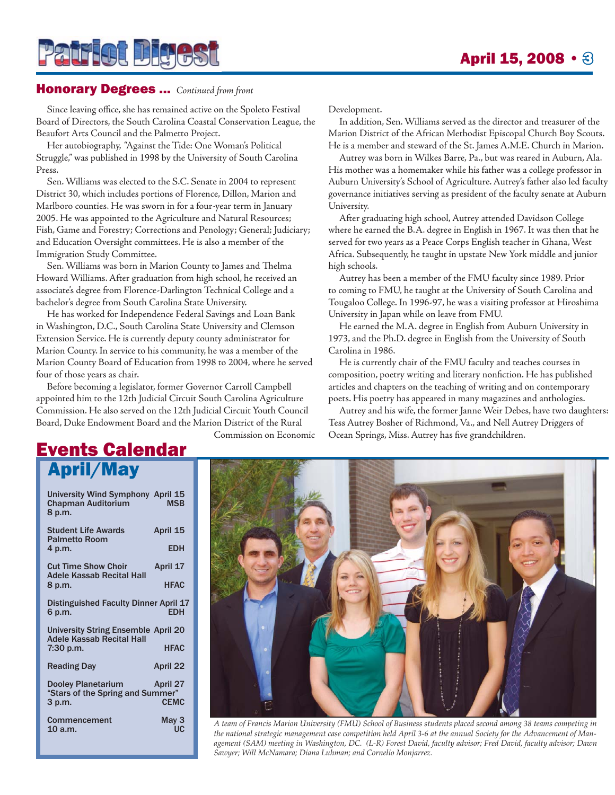## Honorary Degrees ... *Continued from front*

**Patrict Bigest** 

Since leaving office, she has remained active on the Spoleto Festival Board of Directors, the South Carolina Coastal Conservation League, the Beaufort Arts Council and the Palmetto Project.

Her autobiography, "Against the Tide: One Woman's Political Struggle," was published in 1998 by the University of South Carolina Press.

Sen. Williams was elected to the S.C. Senate in 2004 to represent District 30, which includes portions of Florence, Dillon, Marion and Marlboro counties. He was sworn in for a four-year term in January 2005. He was appointed to the Agriculture and Natural Resources; Fish, Game and Forestry; Corrections and Penology; General; Judiciary; and Education Oversight committees. He is also a member of the Immigration Study Committee.

Sen. Williams was born in Marion County to James and Thelma Howard Williams. After graduation from high school, he received an associate's degree from Florence-Darlington Technical College and a bachelor's degree from South Carolina State University.

He has worked for Independence Federal Savings and Loan Bank in Washington, D.C., South Carolina State University and Clemson Extension Service. He is currently deputy county administrator for Marion County. In service to his community, he was a member of the Marion County Board of Education from 1998 to 2004, where he served four of those years as chair.

Before becoming a legislator, former Governor Carroll Campbell appointed him to the 12th Judicial Circuit South Carolina Agriculture Commission. He also served on the 12th Judicial Circuit Youth Council Board, Duke Endowment Board and the Marion District of the Rural

Commission on Economic

Development.

In addition, Sen. Williams served as the director and treasurer of the Marion District of the African Methodist Episcopal Church Boy Scouts. He is a member and steward of the St. James A.M.E. Church in Marion.

Autrey was born in Wilkes Barre, Pa., but was reared in Auburn, Ala. His mother was a homemaker while his father was a college professor in Auburn University's School of Agriculture. Autrey's father also led faculty governance initiatives serving as president of the faculty senate at Auburn University.

After graduating high school, Autrey attended Davidson College where he earned the B.A. degree in English in 1967. It was then that he served for two years as a Peace Corps English teacher in Ghana, West Africa. Subsequently, he taught in upstate New York middle and junior high schools.

Autrey has been a member of the FMU faculty since 1989. Prior to coming to FMU, he taught at the University of South Carolina and Tougaloo College. In 1996-97, he was a visiting professor at Hiroshima University in Japan while on leave from FMU.

He earned the M.A. degree in English from Auburn University in 1973, and the Ph.D. degree in English from the University of South Carolina in 1986.

He is currently chair of the FMU faculty and teaches courses in composition, poetry writing and literary nonfiction. He has published articles and chapters on the teaching of writing and on contemporary poets. His poetry has appeared in many magazines and anthologies.

Autrey and his wife, the former Janne Weir Debes, have two daughters: Tess Autrey Bosher of Richmond, Va., and Nell Autrey Driggers of Ocean Springs, Miss. Autrey has five grandchildren.

# Events Calendar April/May

University Wind Symphony April 15 Chapman Auditorium 8 p.m. Student Life Awards April 15 Palmetto Room 4 p.m. EDH Cut Time Show Choir April 17 Adele Kassab Recital Hall 8 p.m. **HFAC** Distinguished Faculty Dinner April 17 6 p.m. University String Ensemble April 20 Adele Kassab Recital Hall 7:30 p.m. HFAC Reading Day **April 22** Dooley Planetarium April 27 "Stars of the Spring and Summer" 3 p.m. Commencement May 3<br>10 a.m. UC  $10 a.m.$ 



*A team of Francis Marion University (FMU) School of Business students placed second among 38 teams competing in the national strategic management case competition held April 3-6 at the annual Society for the Advancement of Management (SAM) meeting in Washington, DC. (L-R) Forest David, faculty advisor; Fred David, faculty advisor; Dawn Sawyer; Will McNamara; Diana Luhman; and Cornelio Monjarrez.*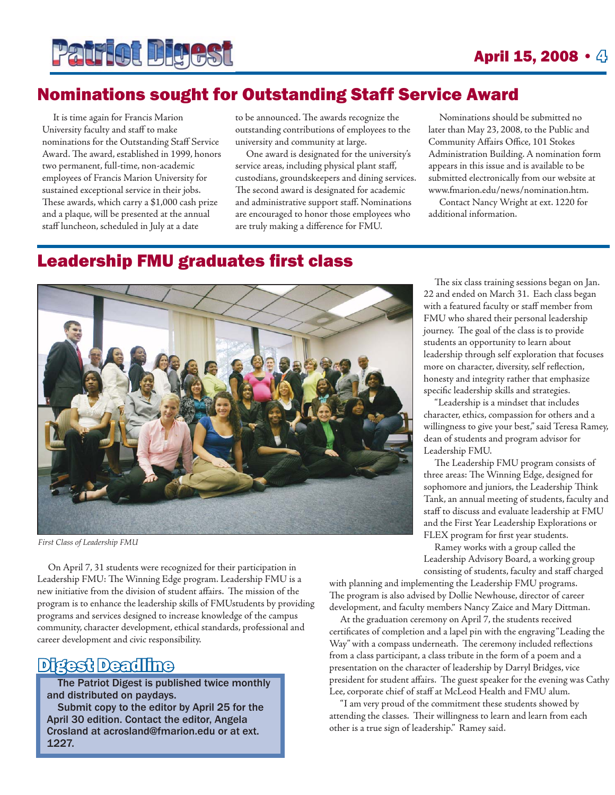

# Nominations sought for Outstanding Staff Service Award

It is time again for Francis Marion University faculty and staff to make nominations for the Outstanding Staff Service Award. The award, established in 1999, honors two permanent, full-time, non-academic employees of Francis Marion University for sustained exceptional service in their jobs. These awards, which carry a \$1,000 cash prize and a plaque, will be presented at the annual staff luncheon, scheduled in July at a date

to be announced. The awards recognize the outstanding contributions of employees to the university and community at large.

One award is designated for the university's service areas, including physical plant staff, custodians, groundskeepers and dining services. The second award is designated for academic and administrative support staff. Nominations are encouraged to honor those employees who are truly making a difference for FMU.

Nominations should be submitted no later than May 23, 2008, to the Public and Community Affairs Office, 101 Stokes Administration Building. A nomination form appears in this issue and is available to be submitted electronically from our website at www.fmarion.edu/news/nomination.htm.

Contact Nancy Wright at ext. 1220 for additional information.

### **Leadership FMU graduates first class**



*First Class of Leadership FMU*

On April 7, 31 students were recognized for their participation in Leadership FMU: The Winning Edge program. Leadership FMU is a new initiative from the division of student affairs. The mission of the program is to enhance the leadership skills of FMUstudents by providing programs and services designed to increase knowledge of the campus community, character development, ethical standards, professional and career development and civic responsibility.

# Digest Deadline

The Patriot Digest is published twice monthly and distributed on paydays.

Submit copy to the editor by April 25 for the April 30 edition. Contact the editor, Angela Crosland at acrosland@fmarion.edu or at ext. 1227.

The six class training sessions began on Jan. 22 and ended on March 31. Each class began with a featured faculty or staff member from FMU who shared their personal leadership journey. The goal of the class is to provide students an opportunity to learn about leadership through self exploration that focuses more on character, diversity, self reflection, honesty and integrity rather that emphasize specific leadership skills and strategies.

"Leadership is a mindset that includes character, ethics, compassion for others and a willingness to give your best," said Teresa Ramey, dean of students and program advisor for Leadership FMU.

The Leadership FMU program consists of three areas: The Winning Edge, designed for sophomore and juniors, the Leadership Think Tank, an annual meeting of students, faculty and staff to discuss and evaluate leadership at FMU and the First Year Leadership Explorations or FLEX program for first year students.

Ramey works with a group called the Leadership Advisory Board, a working group consisting of students, faculty and staff charged

with planning and implementing the Leadership FMU programs. The program is also advised by Dollie Newhouse, director of career development, and faculty members Nancy Zaice and Mary Dittman.

At the graduation ceremony on April 7, the students received certificates of completion and a lapel pin with the engraving "Leading the Way" with a compass underneath. The ceremony included reflections from a class participant, a class tribute in the form of a poem and a presentation on the character of leadership by Darryl Bridges, vice president for student affairs. The guest speaker for the evening was Cathy Lee, corporate chief of staff at McLeod Health and FMU alum.

"I am very proud of the commitment these students showed by attending the classes. Their willingness to learn and learn from each other is a true sign of leadership." Ramey said.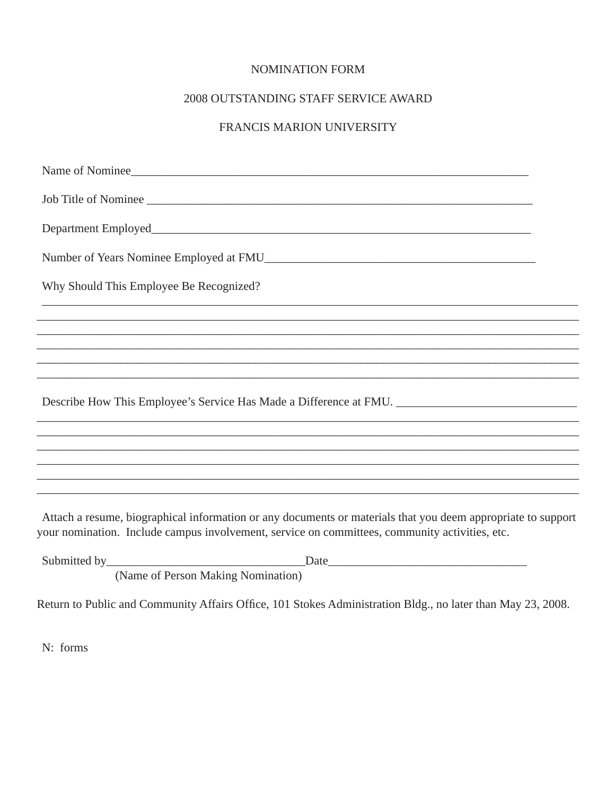#### NOMINATION FORM

#### 2008 OUTSTANDING STAFF SERVICE AWARD

#### FRANCIS MARION UNIVERSITY

| Name of Nominee                                                                   |  |  |  |
|-----------------------------------------------------------------------------------|--|--|--|
| Job Title of Nominee                                                              |  |  |  |
|                                                                                   |  |  |  |
|                                                                                   |  |  |  |
| Why Should This Employee Be Recognized?                                           |  |  |  |
|                                                                                   |  |  |  |
|                                                                                   |  |  |  |
|                                                                                   |  |  |  |
|                                                                                   |  |  |  |
| Describe How This Employee's Service Has Made a Difference at FMU.                |  |  |  |
| ,我们也不能会在这里,我们的人们就会在这里,我们的人们就会在这里,我们也不会在这里,我们也不会在这里,我们也不会在这里,我们也不会在这里,我们也不会在这里,我们  |  |  |  |
|                                                                                   |  |  |  |
| ,我们也不能在这里的人,我们也不能在这里的人,我们也不能在这里的人,我们也不能在这里的人,我们也不能在这里的人,我们也不能在这里的人,我们也不能在这里的人,我们也 |  |  |  |
|                                                                                   |  |  |  |
|                                                                                   |  |  |  |
|                                                                                   |  |  |  |

Attach a resume, biographical information or any documents or materials that you deem appropriate to support your nomination. Include campus involvement, service on committees, community activities, etc.

| Submitted by |                                    | Jate |
|--------------|------------------------------------|------|
|              | (Name of Person Making Nomination) |      |

Return to Public and Community Affairs Office, 101 Stokes Administration Bldg., no later than May 23, 2008.

 $N:$  forms